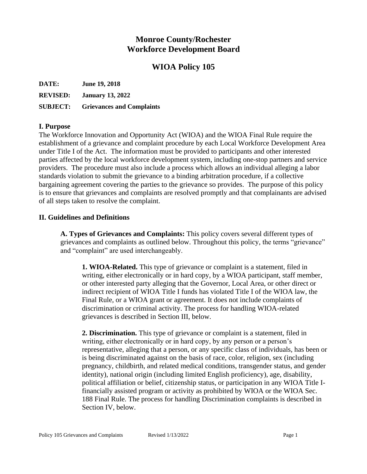# **Monroe County/Rochester Workforce Development Board**

# **WIOA Policy 105**

**DATE: June 19, 2018**

**REVISED: January 13, 2022**

**SUBJECT: Grievances and Complaints**

## **I. Purpose**

The Workforce Innovation and Opportunity Act (WIOA) and the WIOA Final Rule require the establishment of a grievance and complaint procedure by each Local Workforce Development Area under Title I of the Act. The information must be provided to participants and other interested parties affected by the local workforce development system, including one-stop partners and service providers. The procedure must also include a process which allows an individual alleging a labor standards violation to submit the grievance to a binding arbitration procedure, if a collective bargaining agreement covering the parties to the grievance so provides. The purpose of this policy is to ensure that grievances and complaints are resolved promptly and that complainants are advised of all steps taken to resolve the complaint.

## **II. Guidelines and Definitions**

**A. Types of Grievances and Complaints:** This policy covers several different types of grievances and complaints as outlined below. Throughout this policy, the terms "grievance" and "complaint" are used interchangeably.

**1. WIOA-Related.** This type of grievance or complaint is a statement, filed in writing, either electronically or in hard copy, by a WIOA participant, staff member, or other interested party alleging that the Governor, Local Area, or other direct or indirect recipient of WIOA Title I funds has violated Title I of the WIOA law, the Final Rule, or a WIOA grant or agreement. It does not include complaints of discrimination or criminal activity. The process for handling WIOA-related grievances is described in Section III, below.

**2. Discrimination.** This type of grievance or complaint is a statement, filed in writing, either electronically or in hard copy, by any person or a person's representative, alleging that a person, or any specific class of individuals, has been or is being discriminated against on the basis of race, color, religion, sex (including pregnancy, childbirth, and related medical conditions, transgender status, and gender identity), national origin (including limited English proficiency), age, disability, political affiliation or belief, citizenship status, or participation in any WIOA Title Ifinancially assisted program or activity as prohibited by WIOA or the WIOA Sec. 188 Final Rule. The process for handling Discrimination complaints is described in Section IV, below.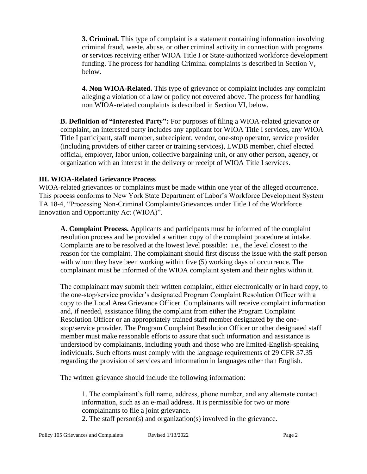**3. Criminal.** This type of complaint is a statement containing information involving criminal fraud, waste, abuse, or other criminal activity in connection with programs or services receiving either WIOA Title I or State-authorized workforce development funding. The process for handling Criminal complaints is described in Section V, below.

**4. Non WIOA-Related.** This type of grievance or complaint includes any complaint alleging a violation of a law or policy not covered above. The process for handling non WIOA-related complaints is described in Section VI, below.

**B. Definition of "Interested Party":** For purposes of filing a WIOA-related grievance or complaint, an interested party includes any applicant for WIOA Title I services, any WIOA Title I participant, staff member, subrecipient, vendor, one-stop operator, service provider (including providers of either career or training services), LWDB member, chief elected official, employer, labor union, collective bargaining unit, or any other person, agency, or organization with an interest in the delivery or receipt of WIOA Title I services.

#### **III. WIOA-Related Grievance Process**

WIOA-related grievances or complaints must be made within one year of the alleged occurrence. This process conforms to New York State Department of Labor's Workforce Development System TA 18-4, "Processing Non-Criminal Complaints/Grievances under Title I of the Workforce Innovation and Opportunity Act (WIOA)".

**A. Complaint Process.** Applicants and participants must be informed of the complaint resolution process and be provided a written copy of the complaint procedure at intake. Complaints are to be resolved at the lowest level possible: i.e., the level closest to the reason for the complaint. The complainant should first discuss the issue with the staff person with whom they have been working within five (5) working days of occurrence. The complainant must be informed of the WIOA complaint system and their rights within it.

The complainant may submit their written complaint, either electronically or in hard copy, to the one-stop/service provider's designated Program Complaint Resolution Officer with a copy to the Local Area Grievance Officer. Complainants will receive complaint information and, if needed, assistance filing the complaint from either the Program Complaint Resolution Officer or an appropriately trained staff member designated by the onestop/service provider. The Program Complaint Resolution Officer or other designated staff member must make reasonable efforts to assure that such information and assistance is understood by complainants, including youth and those who are limited-English-speaking individuals. Such efforts must comply with the language requirements of 29 CFR 37.35 regarding the provision of services and information in languages other than English.

The written grievance should include the following information:

1. The complainant's full name, address, phone number, and any alternate contact information, such as an e-mail address. It is permissible for two or more complainants to file a joint grievance.

2. The staff person(s) and organization(s) involved in the grievance.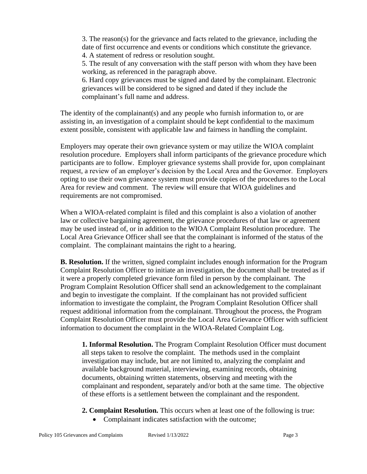3. The reason(s) for the grievance and facts related to the grievance, including the date of first occurrence and events or conditions which constitute the grievance. 4. A statement of redress or resolution sought.

5. The result of any conversation with the staff person with whom they have been working, as referenced in the paragraph above.

6. Hard copy grievances must be signed and dated by the complainant. Electronic grievances will be considered to be signed and dated if they include the complainant's full name and address.

The identity of the complainant(s) and any people who furnish information to, or are assisting in, an investigation of a complaint should be kept confidential to the maximum extent possible, consistent with applicable law and fairness in handling the complaint.

Employers may operate their own grievance system or may utilize the WIOA complaint resolution procedure. Employers shall inform participants of the grievance procedure which participants are to follow. Employer grievance systems shall provide for, upon complainant request, a review of an employer's decision by the Local Area and the Governor. Employers opting to use their own grievance system must provide copies of the procedures to the Local Area for review and comment. The review will ensure that WIOA guidelines and requirements are not compromised.

When a WIOA-related complaint is filed and this complaint is also a violation of another law or collective bargaining agreement, the grievance procedures of that law or agreement may be used instead of, or in addition to the WIOA Complaint Resolution procedure. The Local Area Grievance Officer shall see that the complainant is informed of the status of the complaint. The complainant maintains the right to a hearing.

**B. Resolution.** If the written, signed complaint includes enough information for the Program Complaint Resolution Officer to initiate an investigation, the document shall be treated as if it were a properly completed grievance form filed in person by the complainant. The Program Complaint Resolution Officer shall send an acknowledgement to the complainant and begin to investigate the complaint. If the complainant has not provided sufficient information to investigate the complaint, the Program Complaint Resolution Officer shall request additional information from the complainant. Throughout the process, the Program Complaint Resolution Officer must provide the Local Area Grievance Officer with sufficient information to document the complaint in the WIOA-Related Complaint Log.

**1. Informal Resolution.** The Program Complaint Resolution Officer must document all steps taken to resolve the complaint. The methods used in the complaint investigation may include, but are not limited to, analyzing the complaint and available background material, interviewing, examining records, obtaining documents, obtaining written statements, observing and meeting with the complainant and respondent, separately and/or both at the same time. The objective of these efforts is a settlement between the complainant and the respondent.

- **2. Complaint Resolution.** This occurs when at least one of the following is true:
	- Complainant indicates satisfaction with the outcome;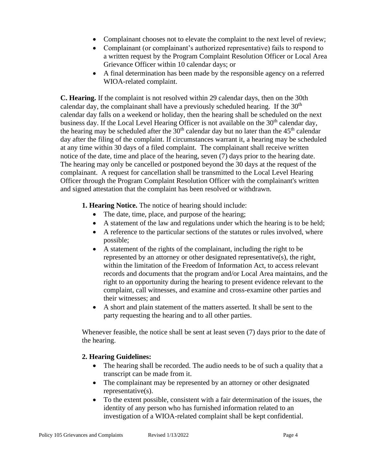- Complainant chooses not to elevate the complaint to the next level of review;
- Complainant (or complainant's authorized representative) fails to respond to a written request by the Program Complaint Resolution Officer or Local Area Grievance Officer within 10 calendar days; or
- A final determination has been made by the responsible agency on a referred WIOA-related complaint.

**C. Hearing.** If the complaint is not resolved within 29 calendar days, then on the 30th calendar day, the complainant shall have a previously scheduled hearing. If the  $30<sup>th</sup>$ calendar day falls on a weekend or holiday, then the hearing shall be scheduled on the next business day. If the Local Level Hearing Officer is not available on the  $30<sup>th</sup>$  calendar day, the hearing may be scheduled after the  $30<sup>th</sup>$  calendar day but no later than the 45<sup>th</sup> calendar day after the filing of the complaint. If circumstances warrant it, a hearing may be scheduled at any time within 30 days of a filed complaint. The complainant shall receive written notice of the date, time and place of the hearing, seven (7) days prior to the hearing date. The hearing may only be cancelled or postponed beyond the 30 days at the request of the complainant. A request for cancellation shall be transmitted to the Local Level Hearing Officer through the Program Complaint Resolution Officer with the complainant's written and signed attestation that the complaint has been resolved or withdrawn.

**1. Hearing Notice.** The notice of hearing should include:

- The date, time, place, and purpose of the hearing;
- A statement of the law and regulations under which the hearing is to be held;
- A reference to the particular sections of the statutes or rules involved, where possible;
- A statement of the rights of the complainant, including the right to be represented by an attorney or other designated representative(s), the right, within the limitation of the Freedom of Information Act, to access relevant records and documents that the program and/or Local Area maintains, and the right to an opportunity during the hearing to present evidence relevant to the complaint, call witnesses, and examine and cross-examine other parties and their witnesses; and
- A short and plain statement of the matters asserted. It shall be sent to the party requesting the hearing and to all other parties.

Whenever feasible, the notice shall be sent at least seven (7) days prior to the date of the hearing.

## **2. Hearing Guidelines:**

- The hearing shall be recorded. The audio needs to be of such a quality that a transcript can be made from it.
- The complainant may be represented by an attorney or other designated representative(s).
- To the extent possible, consistent with a fair determination of the issues, the identity of any person who has furnished information related to an investigation of a WIOA-related complaint shall be kept confidential.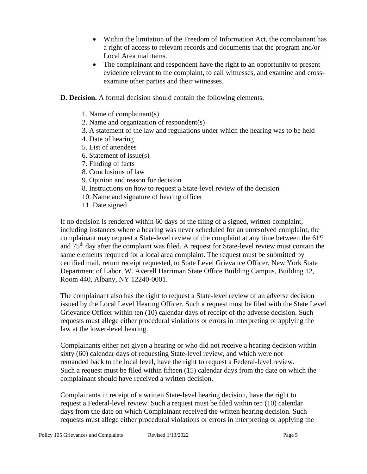- Within the limitation of the Freedom of Information Act, the complainant has a right of access to relevant records and documents that the program and/or Local Area maintains.
- The complainant and respondent have the right to an opportunity to present evidence relevant to the complaint, to call witnesses, and examine and crossexamine other parties and their witnesses.
- **D. Decision.** A formal decision should contain the following elements.
	- 1. Name of complainant(s)
	- 2. Name and organization of respondent(s)
	- 3. A statement of the law and regulations under which the hearing was to be held
	- 4. Date of hearing
	- 5. List of attendees
	- 6. Statement of issue(s)
	- 7. Finding of facts
	- 8. Conclusions of law
	- 9. Opinion and reason for decision
	- 8. Instructions on how to request a State-level review of the decision
	- 10. Name and signature of hearing officer
	- 11. Date signed

If no decision is rendered within 60 days of the filing of a signed, written complaint, including instances where a hearing was never scheduled for an unresolved complaint, the complainant may request a State-level review of the complaint at any time between the 61<sup>st</sup> and 75th day after the complaint was filed. A request for State-level review must contain the same elements required for a local area complaint. The request must be submitted by certified mail, return receipt requested, to State Level Grievance Officer, New York State Department of Labor, W. Averell Harriman State Office Building Campus, Building 12, Room 440, Albany, NY 12240-0001.

The complainant also has the right to request a State-level review of an adverse decision issued by the Local Level Hearing Officer. Such a request must be filed with the State Level Grievance Officer within ten (10) calendar days of receipt of the adverse decision. Such requests must allege either procedural violations or errors in interpreting or applying the law at the lower-level hearing.

Complainants either not given a hearing or who did not receive a hearing decision within sixty (60) calendar days of requesting State-level review, and which were not remanded back to the local level, have the right to request a Federal-level review. Such a request must be filed within fifteen (15) calendar days from the date on which the complainant should have received a written decision.

Complainants in receipt of a written State-level hearing decision, have the right to request a Federal-level review. Such a request must be filed within ten (10) calendar days from the date on which Complainant received the written hearing decision. Such requests must allege either procedural violations or errors in interpreting or applying the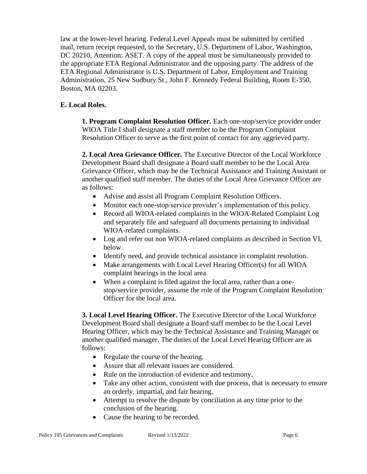law at the lower-level hearing. Federal Level Appeals must be submitted by certified mail, return receipt requested, to the Secretary, U.S. Department of Labor, Washington, DC 20210, Attention: ASET. A copy of the appeal must be simultaneously provided to the appropriate ETA Regional Administrator and the opposing party. The address of the ETA Regional Administrator is U.S. Department of Labor, Employment and Training Administration, 25 New Sudbury St., John F. Kennedy Federal Building, Room E-350, Boston, MA 02203.

## **E. Local Roles.**

**1. Program Complaint Resolution Officer.** Each one-stop/service provider under WIOA Title I shall designate a staff member to be the Program Complaint Resolution Officer to serve as the first point of contact for any aggrieved party.

**2. Local Area Grievance Officer.** The Executive Director of the Local Workforce Development Board shall designate a Board staff member to be the Local Area Grievance Officer, which may be the Technical Assistance and Training Assistant or another qualified staff member. The duties of the Local Area Grievance Officer are as follows:

- Advise and assist all Program Complaint Resolution Officers.
- Monitor each one-stop/service provider's implementation of this policy.
- Record all WIOA-related complaints in the WIOA-Related Complaint Log and separately file and safeguard all documents pertaining to individual WIOA-related complaints.
- Log and refer out non WIOA-related complaints as described in Section VI, below.
- Identify need, and provide technical assistance in complaint resolution.
- Make arrangements with Local Level Hearing Officer(s) for all WIOA complaint hearings in the local area.
- When a complaint is filed against the local area, rather than a onestop/service provider, assume the role of the Program Complaint Resolution Officer for the local area.

**3. Local Level Hearing Officer.** The Executive Director of the Local Workforce Development Board shall designate a Board staff member to be the Local Level Hearing Officer, which may be the Technical Assistance and Training Manager or another qualified manager. The duties of the Local Level Hearing Officer are as follows:

- Regulate the course of the hearing.
- Assure that all relevant issues are considered.
- Rule on the introduction of evidence and testimony.
- Take any other action, consistent with due process, that is necessary to ensure an orderly, impartial, and fair hearing.
- Attempt to resolve the dispute by conciliation at any time prior to the conclusion of the hearing.
- Cause the hearing to be recorded.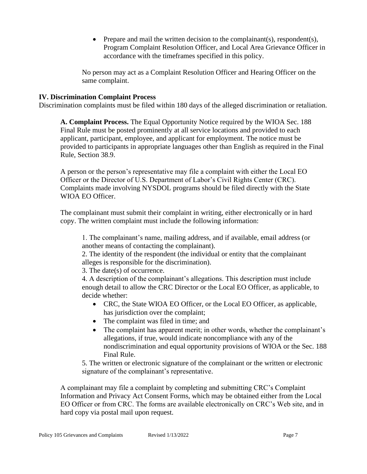• Prepare and mail the written decision to the complainant(s), respondent(s), Program Complaint Resolution Officer, and Local Area Grievance Officer in accordance with the timeframes specified in this policy.

No person may act as a Complaint Resolution Officer and Hearing Officer on the same complaint.

#### **IV. Discrimination Complaint Process**

Discrimination complaints must be filed within 180 days of the alleged discrimination or retaliation.

**A. Complaint Process.** The Equal Opportunity Notice required by the WIOA Sec. 188 Final Rule must be posted prominently at all service locations and provided to each applicant, participant, employee, and applicant for employment. The notice must be provided to participants in appropriate languages other than English as required in the Final Rule, Section 38.9.

A person or the person's representative may file a complaint with either the Local EO Officer or the Director of U.S. Department of Labor's Civil Rights Center (CRC). Complaints made involving NYSDOL programs should be filed directly with the State WIOA EO Officer.

The complainant must submit their complaint in writing, either electronically or in hard copy. The written complaint must include the following information:

1. The complainant's name, mailing address, and if available, email address (or another means of contacting the complainant).

2. The identity of the respondent (the individual or entity that the complainant alleges is responsible for the discrimination).

3. The date(s) of occurrence.

4. A description of the complainant's allegations. This description must include enough detail to allow the CRC Director or the Local EO Officer, as applicable, to decide whether:

- CRC, the State WIOA EO Officer, or the Local EO Officer, as applicable, has jurisdiction over the complaint;
- The complaint was filed in time; and
- The complaint has apparent merit; in other words, whether the complainant's allegations, if true, would indicate noncompliance with any of the nondiscrimination and equal opportunity provisions of WIOA or the Sec. 188 Final Rule.

5. The written or electronic signature of the complainant or the written or electronic signature of the complainant's representative.

A complainant may file a complaint by completing and submitting CRC's Complaint Information and Privacy Act Consent Forms, which may be obtained either from the Local EO Officer or from CRC. The forms are available electronically on CRC's Web site, and in hard copy via postal mail upon request.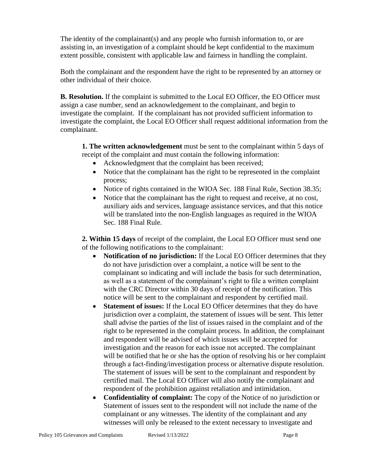The identity of the complainant(s) and any people who furnish information to, or are assisting in, an investigation of a complaint should be kept confidential to the maximum extent possible, consistent with applicable law and fairness in handling the complaint.

Both the complainant and the respondent have the right to be represented by an attorney or other individual of their choice.

**B. Resolution.** If the complaint is submitted to the Local EO Officer, the EO Officer must assign a case number, send an acknowledgement to the complainant, and begin to investigate the complaint. If the complainant has not provided sufficient information to investigate the complaint, the Local EO Officer shall request additional information from the complainant.

**1. The written acknowledgement** must be sent to the complainant within 5 days of receipt of the complaint and must contain the following information:

- Acknowledgment that the complaint has been received;
- Notice that the complainant has the right to be represented in the complaint process;
- Notice of rights contained in the WIOA Sec. 188 Final Rule, Section 38.35;
- Notice that the complainant has the right to request and receive, at no cost, auxiliary aids and services, language assistance services, and that this notice will be translated into the non-English languages as required in the WIOA Sec. 188 Final Rule.

**2. Within 15 days** of receipt of the complaint, the Local EO Officer must send one of the following notifications to the complainant:

- **Notification of no jurisdiction:** If the Local EO Officer determines that they do not have jurisdiction over a complaint, a notice will be sent to the complainant so indicating and will include the basis for such determination, as well as a statement of the complainant's right to file a written complaint with the CRC Director within 30 days of receipt of the notification. This notice will be sent to the complainant and respondent by certified mail.
- **Statement of issues:** If the Local EO Officer determines that they do have jurisdiction over a complaint, the statement of issues will be sent. This letter shall advise the parties of the list of issues raised in the complaint and of the right to be represented in the complaint process. In addition, the complainant and respondent will be advised of which issues will be accepted for investigation and the reason for each issue not accepted. The complainant will be notified that he or she has the option of resolving his or her complaint through a fact-finding/investigation process or alternative dispute resolution. The statement of issues will be sent to the complainant and respondent by certified mail. The Local EO Officer will also notify the complainant and respondent of the prohibition against retaliation and intimidation.
- **Confidentiality of complaint:** The copy of the Notice of no jurisdiction or Statement of issues sent to the respondent will not include the name of the complainant or any witnesses. The identity of the complainant and any witnesses will only be released to the extent necessary to investigate and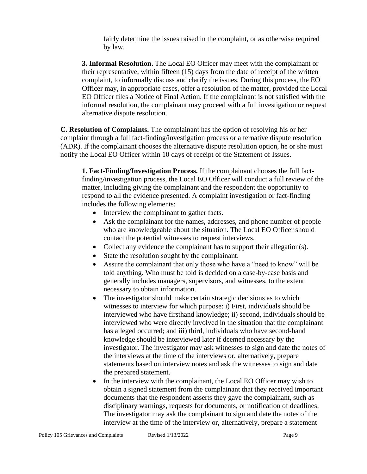fairly determine the issues raised in the complaint, or as otherwise required by law.

**3. Informal Resolution.** The Local EO Officer may meet with the complainant or their representative, within fifteen (15) days from the date of receipt of the written complaint, to informally discuss and clarify the issues. During this process, the EO Officer may, in appropriate cases, offer a resolution of the matter, provided the Local EO Officer files a Notice of Final Action. If the complainant is not satisfied with the informal resolution, the complainant may proceed with a full investigation or request alternative dispute resolution.

**C. Resolution of Complaints.** The complainant has the option of resolving his or her complaint through a full fact-finding/investigation process or alternative dispute resolution (ADR). If the complainant chooses the alternative dispute resolution option, he or she must notify the Local EO Officer within 10 days of receipt of the Statement of Issues.

**1. Fact-Finding/Investigation Process.** If the complainant chooses the full factfinding/investigation process, the Local EO Officer will conduct a full review of the matter, including giving the complainant and the respondent the opportunity to respond to all the evidence presented. A complaint investigation or fact-finding includes the following elements:

- Interview the complainant to gather facts.
- Ask the complainant for the names, addresses, and phone number of people who are knowledgeable about the situation. The Local EO Officer should contact the potential witnesses to request interviews.
- Collect any evidence the complainant has to support their allegation(s).
- State the resolution sought by the complainant.
- Assure the complainant that only those who have a "need to know" will be told anything. Who must be told is decided on a case-by-case basis and generally includes managers, supervisors, and witnesses, to the extent necessary to obtain information.
- The investigator should make certain strategic decisions as to which witnesses to interview for which purpose: i) First, individuals should be interviewed who have firsthand knowledge; ii) second, individuals should be interviewed who were directly involved in the situation that the complainant has alleged occurred; and iii) third, individuals who have second-hand knowledge should be interviewed later if deemed necessary by the investigator. The investigator may ask witnesses to sign and date the notes of the interviews at the time of the interviews or, alternatively, prepare statements based on interview notes and ask the witnesses to sign and date the prepared statement.
- In the interview with the complainant, the Local EO Officer may wish to obtain a signed statement from the complainant that they received important documents that the respondent asserts they gave the complainant, such as disciplinary warnings, requests for documents, or notification of deadlines. The investigator may ask the complainant to sign and date the notes of the interview at the time of the interview or, alternatively, prepare a statement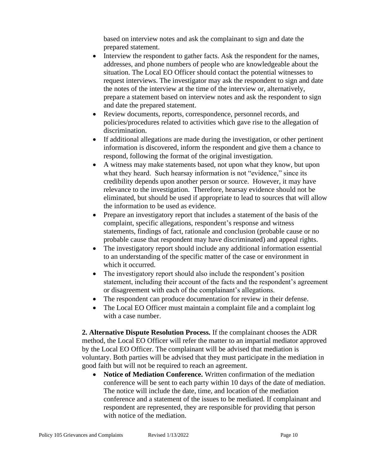based on interview notes and ask the complainant to sign and date the prepared statement.

- Interview the respondent to gather facts. Ask the respondent for the names, addresses, and phone numbers of people who are knowledgeable about the situation. The Local EO Officer should contact the potential witnesses to request interviews. The investigator may ask the respondent to sign and date the notes of the interview at the time of the interview or, alternatively, prepare a statement based on interview notes and ask the respondent to sign and date the prepared statement.
- Review documents, reports, correspondence, personnel records, and policies/procedures related to activities which gave rise to the allegation of discrimination.
- If additional allegations are made during the investigation, or other pertinent information is discovered, inform the respondent and give them a chance to respond, following the format of the original investigation.
- A witness may make statements based, not upon what they know, but upon what they heard. Such hearsay information is not "evidence," since its credibility depends upon another person or source. However, it may have relevance to the investigation. Therefore, hearsay evidence should not be eliminated, but should be used if appropriate to lead to sources that will allow the information to be used as evidence.
- Prepare an investigatory report that includes a statement of the basis of the complaint, specific allegations, respondent's response and witness statements, findings of fact, rationale and conclusion (probable cause or no probable cause that respondent may have discriminated) and appeal rights.
- The investigatory report should include any additional information essential to an understanding of the specific matter of the case or environment in which it occurred.
- The investigatory report should also include the respondent's position statement, including their account of the facts and the respondent's agreement or disagreement with each of the complainant's allegations.
- The respondent can produce documentation for review in their defense.
- The Local EO Officer must maintain a complaint file and a complaint log with a case number.

**2. Alternative Dispute Resolution Process.** If the complainant chooses the ADR method, the Local EO Officer will refer the matter to an impartial mediator approved by the Local EO Officer. The complainant will be advised that mediation is voluntary. Both parties will be advised that they must participate in the mediation in good faith but will not be required to reach an agreement.

• **Notice of Mediation Conference.** Written confirmation of the mediation conference will be sent to each party within 10 days of the date of mediation. The notice will include the date, time, and location of the mediation conference and a statement of the issues to be mediated. If complainant and respondent are represented, they are responsible for providing that person with notice of the mediation.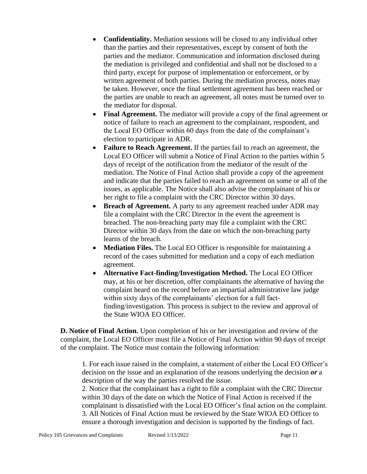- **Confidentiality.** Mediation sessions will be closed to any individual other than the parties and their representatives, except by consent of both the parties and the mediator. Communication and information disclosed during the mediation is privileged and confidential and shall not be disclosed to a third party, except for purpose of implementation or enforcement, or by written agreement of both parties. During the mediation process, notes may be taken. However, once the final settlement agreement has been reached or the parties are unable to reach an agreement, all notes must be turned over to the mediator for disposal.
- **Final Agreement.** The mediator will provide a copy of the final agreement or notice of failure to reach an agreement to the complainant, respondent, and the Local EO Officer within 60 days from the date of the complainant's election to participate in ADR.
- **Failure to Reach Agreement.** If the parties fail to reach an agreement, the Local EO Officer will submit a Notice of Final Action to the parties within 5 days of receipt of the notification from the mediator of the result of the mediation. The Notice of Final Action shall provide a copy of the agreement and indicate that the parties failed to reach an agreement on some or all of the issues, as applicable. The Notice shall also advise the complainant of his or her right to file a complaint with the CRC Director within 30 days.
- **Breach of Agreement.** A party to any agreement reached under ADR may file a complaint with the CRC Director in the event the agreement is breached. The non-breaching party may file a complaint with the CRC Director within 30 days from the date on which the non-breaching party learns of the breach.
- **Mediation Files.** The Local EO Officer is responsible for maintaining a record of the cases submitted for mediation and a copy of each mediation agreement.
- **Alternative Fact-finding/Investigation Method.** The Local EO Officer may, at his or her discretion, offer complainants the alternative of having the complaint heard on the record before an impartial administrative law judge within sixty days of the complainants' election for a full factfinding/investigation. This process is subject to the review and approval of the State WIOA EO Officer.

**D. Notice of Final Action.** Upon completion of his or her investigation and review of the complaint, the Local EO Officer must file a Notice of Final Action within 90 days of receipt of the complaint. The Notice must contain the following information:

1. For each issue raised in the complaint, a statement of either the Local EO Officer's decision on the issue and an explanation of the reasons underlying the decision *or* a description of the way the parties resolved the issue.

2. Notice that the complainant has a right to file a complaint with the CRC Director within 30 days of the date on which the Notice of Final Action is received if the complainant is dissatisfied with the Local EO Officer's final action on the complaint. 3. All Notices of Final Action must be reviewed by the State WIOA EO Officer to ensure a thorough investigation and decision is supported by the findings of fact.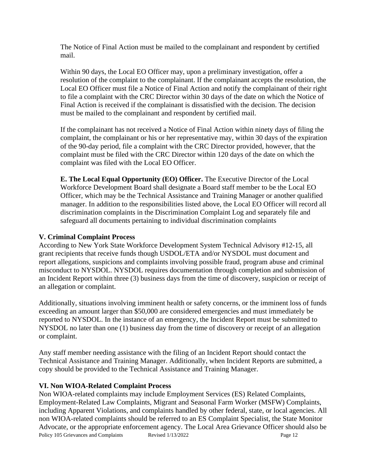The Notice of Final Action must be mailed to the complainant and respondent by certified mail.

Within 90 days, the Local EO Officer may, upon a preliminary investigation, offer a resolution of the complaint to the complainant. If the complainant accepts the resolution, the Local EO Officer must file a Notice of Final Action and notify the complainant of their right to file a complaint with the CRC Director within 30 days of the date on which the Notice of Final Action is received if the complainant is dissatisfied with the decision. The decision must be mailed to the complainant and respondent by certified mail.

If the complainant has not received a Notice of Final Action within ninety days of filing the complaint, the complainant or his or her representative may, within 30 days of the expiration of the 90-day period, file a complaint with the CRC Director provided, however, that the complaint must be filed with the CRC Director within 120 days of the date on which the complaint was filed with the Local EO Officer.

**E. The Local Equal Opportunity (EO) Officer.** The Executive Director of the Local Workforce Development Board shall designate a Board staff member to be the Local EO Officer, which may be the Technical Assistance and Training Manager or another qualified manager. In addition to the responsibilities listed above, the Local EO Officer will record all discrimination complaints in the Discrimination Complaint Log and separately file and safeguard all documents pertaining to individual discrimination complaints

#### **V. Criminal Complaint Process**

According to New York State Workforce Development System Technical Advisory #12-15, all grant recipients that receive funds though USDOL/ETA and/or NYSDOL must document and report allegations, suspicions and complaints involving possible fraud, program abuse and criminal misconduct to NYSDOL. NYSDOL requires documentation through completion and submission of an Incident Report within three (3) business days from the time of discovery, suspicion or receipt of an allegation or complaint.

Additionally, situations involving imminent health or safety concerns, or the imminent loss of funds exceeding an amount larger than \$50,000 are considered emergencies and must immediately be reported to NYSDOL. In the instance of an emergency, the Incident Report must be submitted to NYSDOL no later than one (1) business day from the time of discovery or receipt of an allegation or complaint.

Any staff member needing assistance with the filing of an Incident Report should contact the Technical Assistance and Training Manager. Additionally, when Incident Reports are submitted, a copy should be provided to the Technical Assistance and Training Manager.

#### **VI. Non WIOA-Related Complaint Process**

Policy 105 Grievances and Complaints Revised 1/13/2022 Page 12 Non WIOA-related complaints may include Employment Services (ES) Related Complaints, Employment-Related Law Complaints, Migrant and Seasonal Farm Worker (MSFW) Complaints, including Apparent Violations, and complaints handled by other federal, state, or local agencies. All non WIOA-related complaints should be referred to an ES Complaint Specialist, the State Monitor Advocate, or the appropriate enforcement agency. The Local Area Grievance Officer should also be